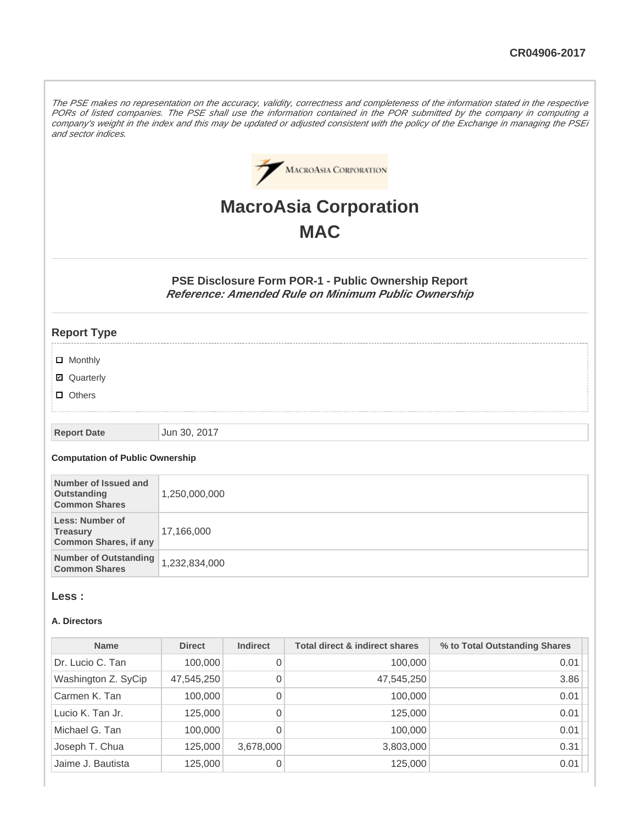The PSE makes no representation on the accuracy, validity, correctness and completeness of the information stated in the respective PORs of listed companies. The PSE shall use the information contained in the POR submitted by the company in computing a company's weight in the index and this may be updated or adjusted consistent with the policy of the Exchange in managing the PSEi and sector indices.



# **MacroAsia Corporation MAC**

**PSE Disclosure Form POR-1 - Public Ownership Report Reference: Amended Rule on Minimum Public Ownership**

## **Report Type**

- **D** Monthly
- Quarterly
- **D** Others

#### **Report Date** Jun 30, 2017

#### **Computation of Public Ownership**

| Number of Issued and<br>Outstanding<br><b>Common Shares</b>        | 1,250,000,000 |
|--------------------------------------------------------------------|---------------|
| Less: Number of<br><b>Treasury</b><br><b>Common Shares, if any</b> | 17,166,000    |
| <b>Number of Outstanding</b><br><b>Common Shares</b>               | 1,232,834,000 |

#### **Less :**

#### **A. Directors**

| <b>Name</b>         | <b>Direct</b> | <b>Indirect</b> | <b>Total direct &amp; indirect shares</b> | % to Total Outstanding Shares |
|---------------------|---------------|-----------------|-------------------------------------------|-------------------------------|
| Dr. Lucio C. Tan    | 100,000       | 0               | 100,000                                   | 0.01                          |
| Washington Z. SyCip | 47,545,250    | 0               | 47,545,250                                | 3.86                          |
| Carmen K. Tan       | 100,000       | 0               | 100,000                                   | 0.01                          |
| Lucio K. Tan Jr.    | 125,000       | 0               | 125,000                                   | 0.01                          |
| Michael G. Tan      | 100,000       | 0               | 100,000                                   | 0.01                          |
| Joseph T. Chua      | 125,000       | 3,678,000       | 3,803,000                                 | 0.31                          |
| Jaime J. Bautista   | 125,000       | 0               | 125,000                                   | 0.01                          |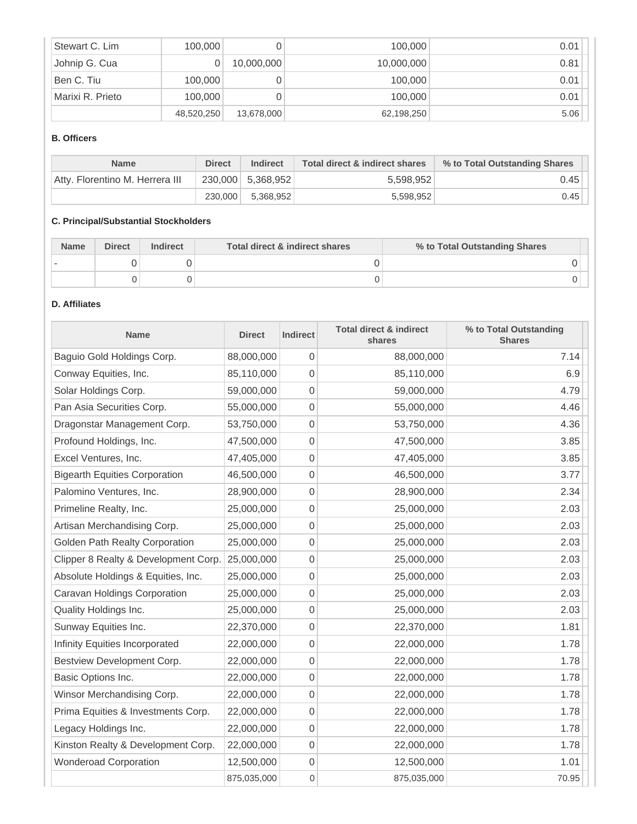| Stewart C. Lim   | 100,000    |            | 100,000    | 0.01 |
|------------------|------------|------------|------------|------|
| Johnip G. Cua    |            | 10,000,000 | 10,000,000 | 0.81 |
| Ben C. Tiu       | 100,000    |            | 100,000    | 0.01 |
| Marixi R. Prieto | 100,000    |            | 100,000    | 0.01 |
|                  | 48,520,250 | 13,678,000 | 62,198,250 | 5.06 |

## **B. Officers**

| <b>Name</b>                     | <b>Direct</b> | <b>Indirect</b>     | Total direct & indirect shares | % to Total Outstanding Shares |
|---------------------------------|---------------|---------------------|--------------------------------|-------------------------------|
| Atty, Florentino M. Herrera III |               | $230,000$ 5,368,952 | 5,598,952                      | 0.45                          |
|                                 | 230,000       | 5.368.952           | 5.598.952                      | 0.45                          |

# **C. Principal/Substantial Stockholders**

| <b>Name</b> | <b>Direct</b> | Indirect | Total direct & indirect shares | % to Total Outstanding Shares |
|-------------|---------------|----------|--------------------------------|-------------------------------|
|             |               |          |                                |                               |
|             |               |          |                                |                               |

# **D. Affiliates**

| <b>Name</b>                           | <b>Direct</b> | <b>Indirect</b>  | <b>Total direct &amp; indirect</b><br>shares | % to Total Outstanding<br><b>Shares</b> |
|---------------------------------------|---------------|------------------|----------------------------------------------|-----------------------------------------|
| Baguio Gold Holdings Corp.            | 88,000,000    | 0                | 88,000,000                                   | 7.14                                    |
| Conway Equities, Inc.                 | 85,110,000    | 0                | 85,110,000                                   | 6.9                                     |
| Solar Holdings Corp.                  | 59,000,000    | 0                | 59,000,000                                   | 4.79                                    |
| Pan Asia Securities Corp.             | 55,000,000    | 0                | 55,000,000                                   | 4.46                                    |
| Dragonstar Management Corp.           | 53,750,000    | 0                | 53,750,000                                   | 4.36                                    |
| Profound Holdings, Inc.               | 47,500,000    | 0                | 47,500,000                                   | 3.85                                    |
| Excel Ventures, Inc.                  | 47,405,000    | 0                | 47,405,000                                   | 3.85                                    |
| <b>Bigearth Equities Corporation</b>  | 46,500,000    | 0                | 46,500,000                                   | 3.77                                    |
| Palomino Ventures, Inc.               | 28,900,000    | 0                | 28,900,000                                   | 2.34                                    |
| Primeline Realty, Inc.                | 25,000,000    | 0                | 25,000,000                                   | 2.03                                    |
| Artisan Merchandising Corp.           | 25,000,000    | 0                | 25,000,000                                   | 2.03                                    |
| <b>Golden Path Realty Corporation</b> | 25,000,000    | 0                | 25,000,000                                   | 2.03                                    |
| Clipper 8 Realty & Development Corp.  | 25,000,000    | 0                | 25,000,000                                   | 2.03                                    |
| Absolute Holdings & Equities, Inc.    | 25,000,000    | 0                | 25,000,000                                   | 2.03                                    |
| Caravan Holdings Corporation          | 25,000,000    | 0                | 25,000,000                                   | 2.03                                    |
| Quality Holdings Inc.                 | 25,000,000    | 0                | 25,000,000                                   | 2.03                                    |
| Sunway Equities Inc.                  | 22,370,000    | 0                | 22,370,000                                   | 1.81                                    |
| Infinity Equities Incorporated        | 22,000,000    | 0                | 22,000,000                                   | 1.78                                    |
| Bestview Development Corp.            | 22,000,000    | 0                | 22,000,000                                   | 1.78                                    |
| Basic Options Inc.                    | 22,000,000    | 0                | 22,000,000                                   | 1.78                                    |
| Winsor Merchandising Corp.            | 22,000,000    | $\mathbf 0$      | 22,000,000                                   | 1.78                                    |
| Prima Equities & Investments Corp.    | 22,000,000    | 0                | 22,000,000                                   | 1.78                                    |
| Legacy Holdings Inc.                  | 22,000,000    | 0                | 22,000,000                                   | 1.78                                    |
| Kinston Realty & Development Corp.    | 22,000,000    | 0                | 22,000,000                                   | 1.78                                    |
| <b>Wonderoad Corporation</b>          | 12,500,000    | 0                | 12,500,000                                   | 1.01                                    |
|                                       | 875,035,000   | $\boldsymbol{0}$ | 875,035,000                                  | 70.95                                   |